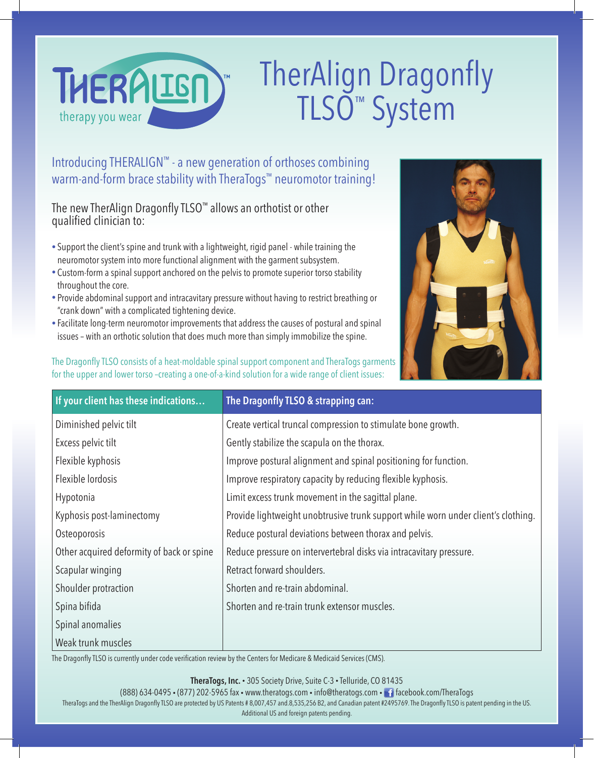

# TherAlign Dragonfly TLSO™ System

Introducing THERALIGN™ - a new generation of orthoses combining warm-and-form brace stability with TheraTogs<sup>™</sup> neuromotor training!

The new TherAlign Dragonfly TLSO™ allows an orthotist or other qualified clinician to:

- Support the client's spine and trunk with a lightweight, rigid panel while training the neuromotor system into more functional alignment with the garment subsystem.
- Custom-form a spinal support anchored on the pelvis to promote superior torso stability throughout the core.
- Provide abdominal support and intracavitary pressure without having to restrict breathing or "crank down" with a complicated tightening device.
- Facilitate long-term neuromotor improvements that address the causes of postural and spinal issues – with an orthotic solution that does much more than simply immobilize the spine.

The Dragonfly TLSO consists of a heat-moldable spinal support component and TheraTogs garments for the upper and lower torso –creating a one-of-a-kind solution for a wide range of client issues:



| If your client has these indications      | The Dragonfly TLSO & strapping can:                                               |
|-------------------------------------------|-----------------------------------------------------------------------------------|
| Diminished pelvic tilt                    | Create vertical truncal compression to stimulate bone growth.                     |
| Excess pelvic tilt                        | Gently stabilize the scapula on the thorax.                                       |
| Flexible kyphosis                         | Improve postural alignment and spinal positioning for function.                   |
| Flexible lordosis                         | Improve respiratory capacity by reducing flexible kyphosis.                       |
| Hypotonia                                 | Limit excess trunk movement in the sagittal plane.                                |
| Kyphosis post-laminectomy                 | Provide lightweight unobtrusive trunk support while worn under client's clothing. |
| Osteoporosis                              | Reduce postural deviations between thorax and pelvis.                             |
| Other acquired deformity of back or spine | Reduce pressure on intervertebral disks via intracavitary pressure.               |
| Scapular winging                          | Retract forward shoulders.                                                        |
| Shoulder protraction                      | Shorten and re-train abdominal.                                                   |
| Spina bifida                              | Shorten and re-train trunk extensor muscles.                                      |
| Spinal anomalies                          |                                                                                   |
| Weak trunk muscles                        |                                                                                   |

The Dragonfly TLSO is currently under code verification review by the Centers for Medicare & Medicaid Services (CMS).

**TheraTogs, Inc.** • 305 Society Drive, Suite C-3 • Telluride, CO 81435

(888) 634-0495 • (877) 202-5965 fax • www.theratogs.com • info@theratogs.com • facebook.com/TheraTogs

TheraTogs and the TherAlign Dragonfly TLSO are protected by US Patents # 8,007,457 and.8,535,256 B2, and Canadian patent #2495769. The Dragonfly TLSO is patent pending in the US. Additional US and foreign patents pending.